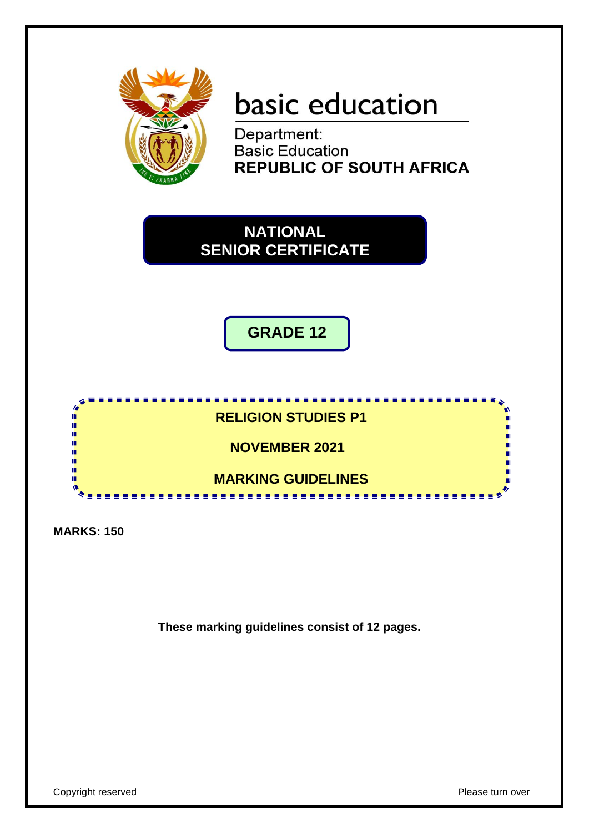

# basic education

Department: **Basic Education REPUBLIC OF SOUTH AFRICA** 



**GRADE 12**



**MARKS: 150**

**These marking guidelines consist of 12 pages.**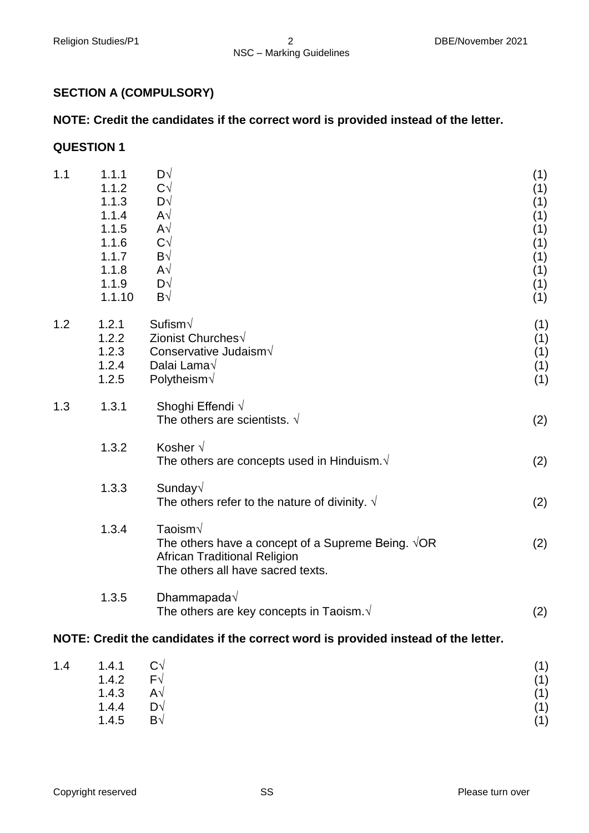# **SECTION A (COMPULSORY)**

# **NOTE: Credit the candidates if the correct word is provided instead of the letter.**

#### **QUESTION 1**

| 1.1                                                                                | 1.1.1<br>1.1.2<br>1.1.3<br>1.1.4<br>1.1.5<br>1.1.6<br>1.1.7<br>1.1.8<br>1.1.9<br>1.1.10 | D√<br>$C\sqrt{}$<br>D√<br>$\mathsf{A}\sqrt{}$<br>$\mathsf{A}\sqrt{}$<br>$C\sqrt{}$<br>B√<br>$\mathsf{A}\sqrt{}$<br>D√<br>B√                               | (1)<br>(1)<br>(1)<br>(1)<br>(1)<br>(1)<br>(1)<br>(1)<br>(1)<br>(1) |
|------------------------------------------------------------------------------------|-----------------------------------------------------------------------------------------|-----------------------------------------------------------------------------------------------------------------------------------------------------------|--------------------------------------------------------------------|
| 1.2                                                                                | 1.2.1<br>1.2.2<br>1.2.3<br>1.2.4<br>1.2.5                                               | Sufism $\sqrt{}$<br>Zionist Churches√<br>Conservative Judaism $\sqrt{}$<br>Dalai Lama√<br>Polytheism $\sqrt$                                              | (1)<br>(1)<br>(1)<br>(1)<br>(1)                                    |
| 1.3                                                                                | 1.3.1                                                                                   | Shoghi Effendi $\sqrt{ }$<br>The others are scientists. $\sqrt{}$                                                                                         | (2)                                                                |
|                                                                                    | 1.3.2                                                                                   | Kosher $\sqrt{ }$<br>The others are concepts used in Hinduism. $\sqrt{ }$                                                                                 | (2)                                                                |
|                                                                                    | 1.3.3                                                                                   | Sunday√<br>The others refer to the nature of divinity. $\sqrt{ }$                                                                                         | (2)                                                                |
|                                                                                    | 1.3.4                                                                                   | Taoism $\sqrt{}$<br>The others have a concept of a Supreme Being. $\sqrt{OR}$<br><b>African Traditional Religion</b><br>The others all have sacred texts. | (2)                                                                |
|                                                                                    | 1.3.5                                                                                   | Dhammapada $\sqrt$<br>The others are key concepts in Taoism. $\sqrt{ }$                                                                                   | (2)                                                                |
| NOTE: Credit the candidates if the correct word is provided instead of the letter. |                                                                                         |                                                                                                                                                           |                                                                    |

| 1.4 | 1.4.1 | $C\sqrt{}$          | (1) |
|-----|-------|---------------------|-----|
|     | 1.4.2 | $F\sqrt{}$          | (1) |
|     | 1.4.3 | $\mathsf{A}\sqrt{}$ | (1) |
|     | 1.4.4 | D√                  | (1) |
|     | 1.4.5 | $\mathsf{B}\sqrt{}$ | (1) |
|     |       |                     |     |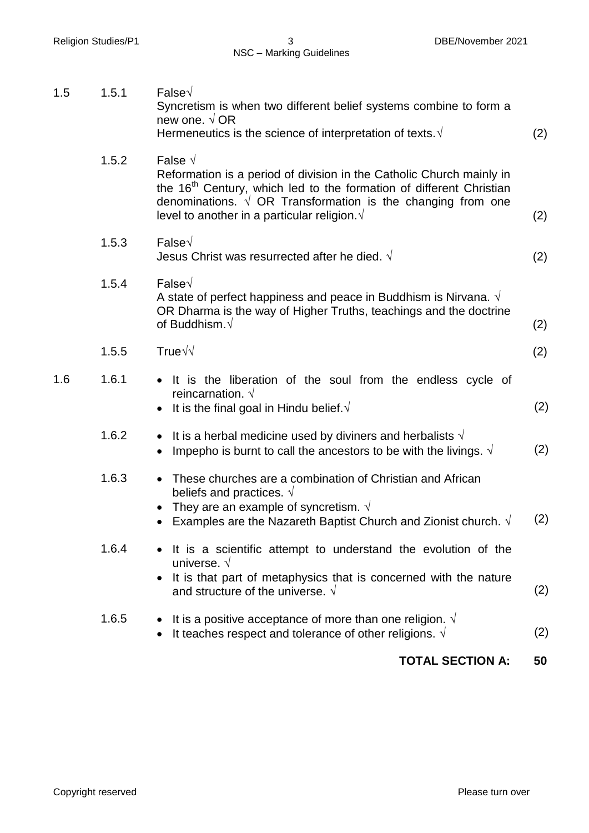|     |                | <b>TOTAL SECTION A:</b>                                                                                                                                                                                                                                                                                    | 50  |
|-----|----------------|------------------------------------------------------------------------------------------------------------------------------------------------------------------------------------------------------------------------------------------------------------------------------------------------------------|-----|
|     | 1.6.5          | It is a positive acceptance of more than one religion. $\sqrt{ }$<br>It teaches respect and tolerance of other religions. $\sqrt{ }$                                                                                                                                                                       | (2) |
|     |                | It is a scientific attempt to understand the evolution of the<br>universe. $\sqrt{ }$<br>It is that part of metaphysics that is concerned with the nature<br>and structure of the universe. $\sqrt{ }$                                                                                                     | (2) |
|     | 1.6.3<br>1.6.4 | These churches are a combination of Christian and African<br>beliefs and practices. $\sqrt{ }$<br>They are an example of syncretism. $\sqrt{ }$<br>Examples are the Nazareth Baptist Church and Zionist church. $\sqrt{ }$                                                                                 | (2) |
|     | 1.6.2          | It is a herbal medicine used by diviners and herbalists $\sqrt{ }$<br>Impepho is burnt to call the ancestors to be with the livings. $\sqrt{ }$<br>$\bullet$                                                                                                                                               | (2) |
| 1.6 | 1.6.1          | It is the liberation of the soul from the endless cycle of<br>reincarnation. $\sqrt{ }$<br>It is the final goal in Hindu belief. $\sqrt{ }$                                                                                                                                                                | (2) |
|     | 1.5.5          | True $\sqrt{}$                                                                                                                                                                                                                                                                                             | (2) |
|     | 1.5.4          | False $\sqrt$<br>A state of perfect happiness and peace in Buddhism is Nirvana. $\sqrt{ }$<br>OR Dharma is the way of Higher Truths, teachings and the doctrine<br>of Buddhism. $\sqrt{}$                                                                                                                  | (2) |
|     | 1.5.3          | False $\sqrt$<br>Jesus Christ was resurrected after he died. $\sqrt{}$                                                                                                                                                                                                                                     | (2) |
|     | 1.5.2          | False $\sqrt{ }$<br>Reformation is a period of division in the Catholic Church mainly in<br>the 16 <sup>th</sup> Century, which led to the formation of different Christian<br>denominations. $\sqrt{OR}$ Transformation is the changing from one<br>level to another in a particular religion. $\sqrt{ }$ | (2) |
| 1.5 | 1.5.1          | False $\sqrt$<br>Syncretism is when two different belief systems combine to form a<br>new one. $\sqrt{OR}$<br>Hermeneutics is the science of interpretation of texts. $\sqrt{ }$                                                                                                                           | (2) |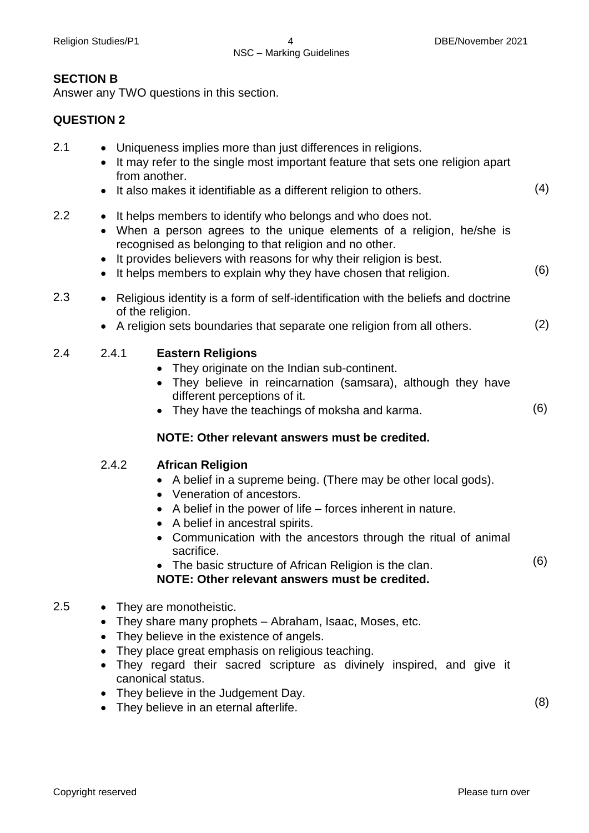# **SECTION B**

Answer any TWO questions in this section.

# **QUESTION 2**

| 2.1     | Uniqueness implies more than just differences in religions.<br>It may refer to the single most important feature that sets one religion apart<br>from another.<br>It also makes it identifiable as a different religion to others.                                                                                                                                                                                         |     |  |
|---------|----------------------------------------------------------------------------------------------------------------------------------------------------------------------------------------------------------------------------------------------------------------------------------------------------------------------------------------------------------------------------------------------------------------------------|-----|--|
| 2.2     | It helps members to identify who belongs and who does not.<br>When a person agrees to the unique elements of a religion, he/she is<br>recognised as belonging to that religion and no other.<br>It provides believers with reasons for why their religion is best.<br>It helps members to explain why they have chosen that religion.                                                                                      |     |  |
| 2.3     | Religious identity is a form of self-identification with the beliefs and doctrine<br>$\bullet$<br>of the religion.<br>A religion sets boundaries that separate one religion from all others.                                                                                                                                                                                                                               | (2) |  |
| 2.4     | 2.4.1<br><b>Eastern Religions</b><br>They originate on the Indian sub-continent.<br>They believe in reincarnation (samsara), although they have<br>different perceptions of it.<br>They have the teachings of moksha and karma.<br>NOTE: Other relevant answers must be credited.                                                                                                                                          | (6) |  |
|         | 2.4.2<br><b>African Religion</b><br>A belief in a supreme being. (There may be other local gods).<br>• Veneration of ancestors.<br>A belief in the power of life – forces inherent in nature.<br>A belief in ancestral spirits.<br>Communication with the ancestors through the ritual of animal<br>sacrifice.<br>• The basic structure of African Religion is the clan.<br>NOTE: Other relevant answers must be credited. | (6) |  |
| $2.5\,$ | They are monotheistic.<br>They share many prophets – Abraham, Isaac, Moses, etc.<br>٠<br>They believe in the existence of angels.<br>$\bullet$<br>They place great emphasis on religious teaching.<br>They regard their sacred scripture as divinely inspired, and give it<br>canonical status.<br>They believe in the Judgement Day.<br>٠<br>• They believe in an eternal afterlife.                                      | (8) |  |
|         |                                                                                                                                                                                                                                                                                                                                                                                                                            |     |  |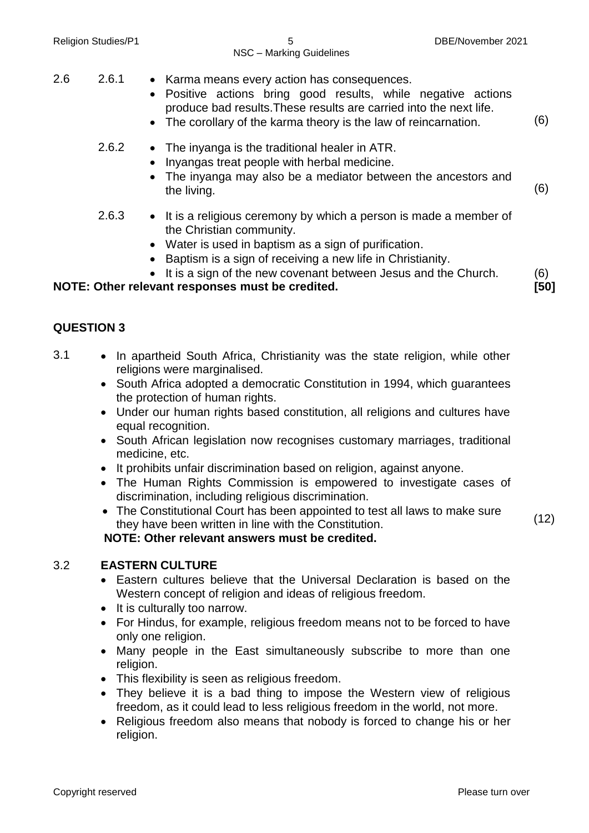| <b>Religion Studies/P1</b> | 5<br>DBE/November 2021<br>NSC - Marking Guidelines                                                                                                                                                                                                                                                                           |      |
|----------------------------|------------------------------------------------------------------------------------------------------------------------------------------------------------------------------------------------------------------------------------------------------------------------------------------------------------------------------|------|
| 2.6<br>2.6.1               | • Karma means every action has consequences.<br>Positive actions bring good results, while negative actions<br>$\bullet$<br>produce bad results. These results are carried into the next life.<br>• The corollary of the karma theory is the law of reincarnation.                                                           | (6)  |
| 2.6.2                      | • The inyanga is the traditional healer in ATR.<br>Inyangas treat people with herbal medicine.<br>The inyanga may also be a mediator between the ancestors and<br>the living.                                                                                                                                                | (6)  |
| 2.6.3                      | • It is a religious ceremony by which a person is made a member of<br>the Christian community.<br>Water is used in baptism as a sign of purification.<br>$\bullet$<br>Baptism is a sign of receiving a new life in Christianity.<br>$\bullet$<br>It is a sign of the new covenant between Jesus and the Church.<br>$\bullet$ | (6)  |
| <b>QUESTION 3</b>          | NOTE: Other relevant responses must be credited.                                                                                                                                                                                                                                                                             | [50] |
| 3.1                        | In apartheid South Africa, Christianity was the state religion, while other                                                                                                                                                                                                                                                  |      |

- religions were marginalised.
	- South Africa adopted a democratic Constitution in 1994, which guarantees the protection of human rights.
	- Under our human rights based constitution, all religions and cultures have equal recognition.
	- South African legislation now recognises customary marriages, traditional medicine, etc.
	- It prohibits unfair discrimination based on religion, against anyone.
	- The Human Rights Commission is empowered to investigate cases of discrimination, including religious discrimination.
	- The Constitutional Court has been appointed to test all laws to make sure they have been written in line with the Constitution.

**NOTE: Other relevant answers must be credited.**

#### 3.2 **EASTERN CULTURE**

- Eastern cultures believe that the Universal Declaration is based on the Western concept of religion and ideas of religious freedom.
- It is culturally too narrow.
- For Hindus, for example, religious freedom means not to be forced to have only one religion.
- Many people in the East simultaneously subscribe to more than one religion.
- This flexibility is seen as religious freedom.
- They believe it is a bad thing to impose the Western view of religious freedom, as it could lead to less religious freedom in the world, not more.
- Religious freedom also means that nobody is forced to change his or her religion.

(12)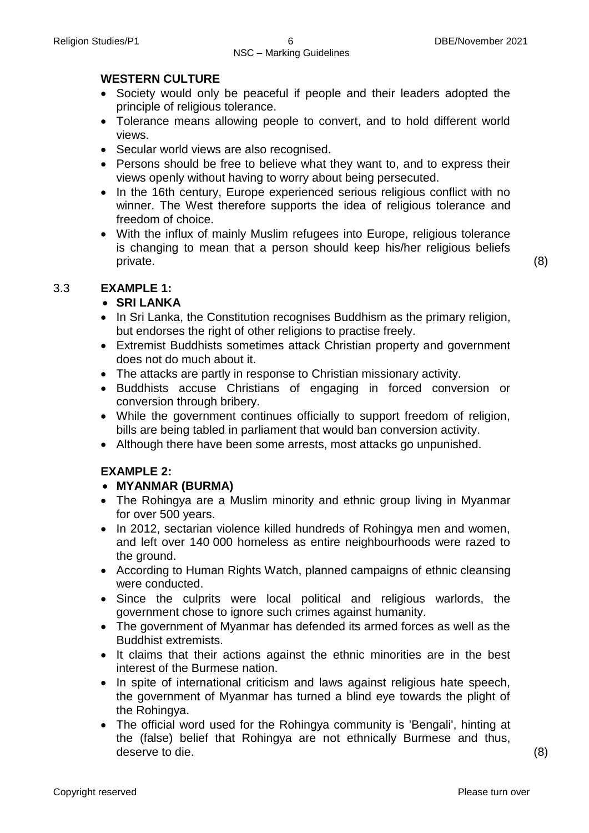#### **WESTERN CULTURE**

- Society would only be peaceful if people and their leaders adopted the principle of religious tolerance.
- Tolerance means allowing people to convert, and to hold different world views.
- Secular world views are also recognised.
- Persons should be free to believe what they want to, and to express their views openly without having to worry about being persecuted.
- In the 16th century, Europe experienced serious religious conflict with no winner. The West therefore supports the idea of religious tolerance and freedom of choice.
- With the influx of mainly Muslim refugees into Europe, religious tolerance is changing to mean that a person should keep his/her religious beliefs private. (8)

# 3.3 **EXAMPLE 1:**

# **SRI LANKA**

- In Sri Lanka, the Constitution recognises Buddhism as the primary religion, but endorses the right of other religions to practise freely.
- Extremist Buddhists sometimes attack Christian property and government does not do much about it.
- The attacks are partly in response to Christian missionary activity.
- Buddhists accuse Christians of engaging in forced conversion or conversion through bribery.
- While the government continues officially to support freedom of religion, bills are being tabled in parliament that would ban conversion activity.
- Although there have been some arrests, most attacks go unpunished.

# **EXAMPLE 2:**

#### **MYANMAR (BURMA)**

- The Rohingya are a Muslim minority and ethnic group living in Myanmar for over 500 years.
- In 2012, sectarian violence killed hundreds of Rohingya men and women, and left over 140 000 homeless as entire neighbourhoods were razed to the ground.
- According to Human Rights Watch, planned campaigns of ethnic cleansing were conducted.
- Since the culprits were local political and religious warlords, the government chose to ignore such crimes against humanity.
- The government of Myanmar has defended its armed forces as well as the Buddhist extremists.
- It claims that their actions against the ethnic minorities are in the best interest of the Burmese nation.
- In spite of international criticism and laws against religious hate speech, the government of Myanmar has turned a blind eye towards the plight of the Rohingya.
- The official word used for the Rohingya community is 'Bengali', hinting at the (false) belief that Rohingya are not ethnically Burmese and thus, deserve to die. (8)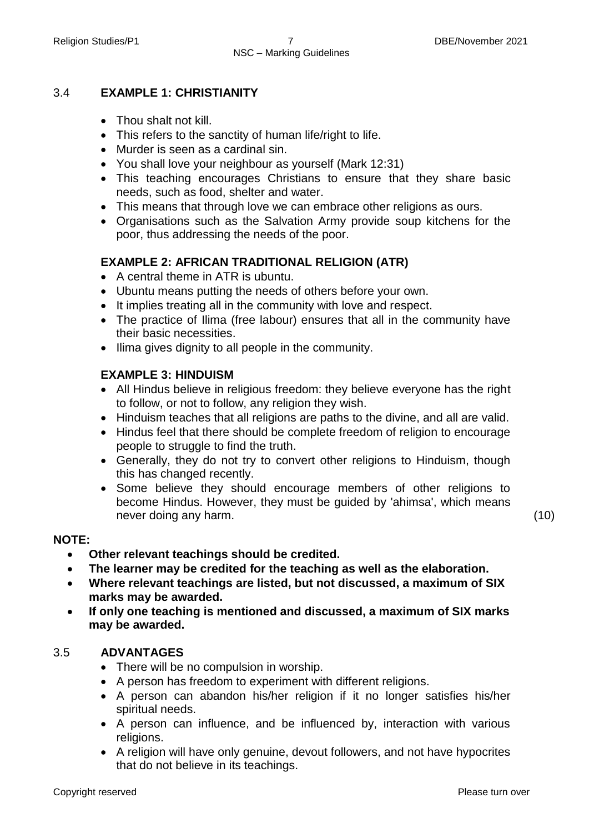#### 3.4 **EXAMPLE 1: CHRISTIANITY**

- Thou shalt not kill.
- This refers to the sanctity of human life/right to life.
- Murder is seen as a cardinal sin.
- You shall love your neighbour as yourself (Mark 12:31)
- This teaching encourages Christians to ensure that they share basic needs, such as food, shelter and water.
- This means that through love we can embrace other religions as ours.
- Organisations such as the Salvation Army provide soup kitchens for the poor, thus addressing the needs of the poor.

#### **EXAMPLE 2: AFRICAN TRADITIONAL RELIGION (ATR)**

- A central theme in ATR is ubuntu.
- Ubuntu means putting the needs of others before your own.
- It implies treating all in the community with love and respect.
- The practice of Ilima (free labour) ensures that all in the community have their basic necessities.
- Ilima gives dignity to all people in the community.

#### **EXAMPLE 3: HINDUISM**

- All Hindus believe in religious freedom: they believe everyone has the right to follow, or not to follow, any religion they wish.
- Hinduism teaches that all religions are paths to the divine, and all are valid.
- Hindus feel that there should be complete freedom of religion to encourage people to struggle to find the truth.
- Generally, they do not try to convert other religions to Hinduism, though this has changed recently.
- Some believe they should encourage members of other religions to become Hindus. However, they must be guided by 'ahimsa', which means never doing any harm. (10)

#### **NOTE:**

- **Other relevant teachings should be credited.**
- **The learner may be credited for the teaching as well as the elaboration.**
- **Where relevant teachings are listed, but not discussed, a maximum of SIX marks may be awarded.**
- **If only one teaching is mentioned and discussed, a maximum of SIX marks may be awarded.**

#### 3.5 **ADVANTAGES**

- There will be no compulsion in worship.
- A person has freedom to experiment with different religions.
- A person can abandon his/her religion if it no longer satisfies his/her spiritual needs.
- A person can influence, and be influenced by, interaction with various religions.
- A religion will have only genuine, devout followers, and not have hypocrites that do not believe in its teachings.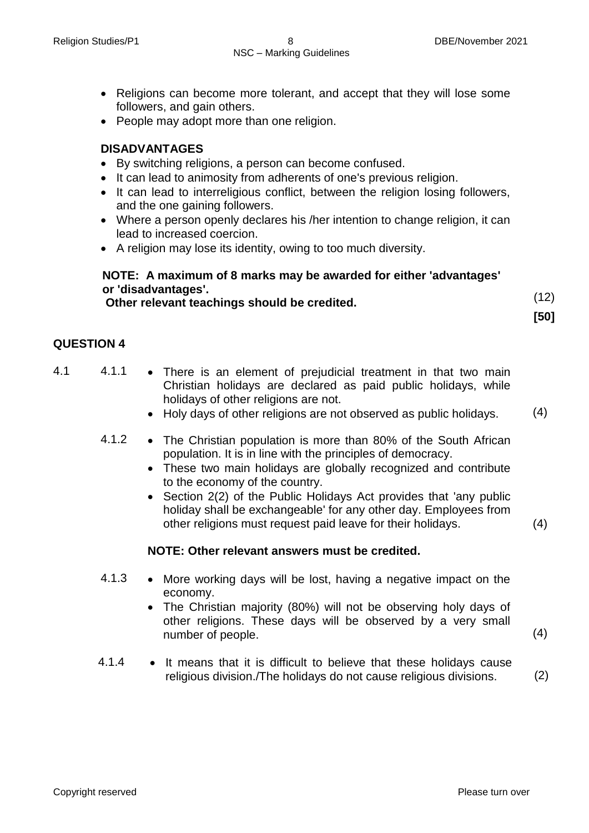- Religions can become more tolerant, and accept that they will lose some followers, and gain others.
- People may adopt more than one religion.

#### **DISADVANTAGES**

- By switching religions, a person can become confused.
- It can lead to animosity from adherents of one's previous religion.
- It can lead to interreligious conflict, between the religion losing followers, and the one gaining followers.
- Where a person openly declares his /her intention to change religion, it can lead to increased coercion.
- A religion may lose its identity, owing to too much diversity.

#### **NOTE: A maximum of 8 marks may be awarded for either 'advantages' or 'disadvantages'. Other relevant teachings should be credited.** (12)

**[50]**

# **QUESTION 4**

- 4.1 4.1.1 There is an element of prejudicial treatment in that two main Christian holidays are declared as paid public holidays, while holidays of other religions are not.
	- Holy days of other religions are not observed as public holidays.  $(4)$
	- 4.1.2 The Christian population is more than 80% of the South African population. It is in line with the principles of democracy.
		- These two main holidays are globally recognized and contribute to the economy of the country.
		- Section 2(2) of the Public Holidays Act provides that 'any public holiday shall be exchangeable' for any other day. Employees from other religions must request paid leave for their holidays.

#### **NOTE: Other relevant answers must be credited.**

- 4.1.3 More working days will be lost, having a negative impact on the economy.
	- The Christian majority (80%) will not be observing holy days of other religions. These days will be observed by a very small number of people. (4)
- 4.1.4  $\bullet$  It means that it is difficult to believe that these holidays cause religious division./The holidays do not cause religious divisions. (2)

(4)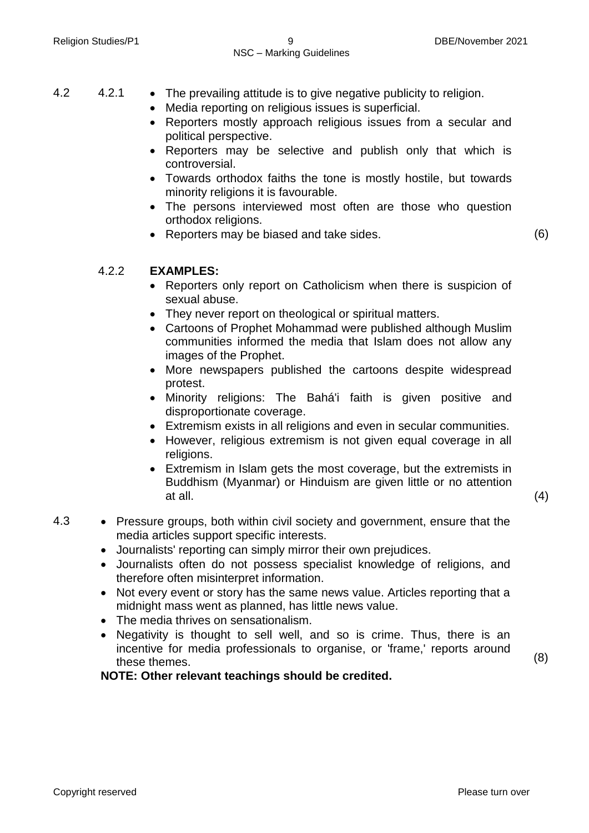4.2 4.2.1 • The prevailing attitude is to give negative publicity to religion.

- Media reporting on religious issues is superficial.
- Reporters mostly approach religious issues from a secular and political perspective.
- Reporters may be selective and publish only that which is controversial.
- Towards orthodox faiths the tone is mostly hostile, but towards minority religions it is favourable.
- The persons interviewed most often are those who question orthodox religions.
- Reporters may be biased and take sides. (6)

# 4.2.2 **EXAMPLES:**

- Reporters only report on Catholicism when there is suspicion of sexual abuse.
- They never report on theological or spiritual matters.
- Cartoons of Prophet Mohammad were published although Muslim communities informed the media that Islam does not allow any images of the Prophet.
- More newspapers published the cartoons despite widespread protest.
- Minority religions: The Bahá'i faith is given positive and disproportionate coverage.
- Extremism exists in all religions and even in secular communities.
- However, religious extremism is not given equal coverage in all religions.
- Extremism in Islam gets the most coverage, but the extremists in Buddhism (Myanmar) or Hinduism are given little or no attention at all.  $(4)$

- 4.3 Pressure groups, both within civil society and government, ensure that the media articles support specific interests.
	- Journalists' reporting can simply mirror their own prejudices.
	- Journalists often do not possess specialist knowledge of religions, and therefore often misinterpret information.
	- Not every event or story has the same news value. Articles reporting that a midnight mass went as planned, has little news value.
	- The media thrives on sensationalism.
	- Negativity is thought to sell well, and so is crime. Thus, there is an incentive for media professionals to organise, or 'frame,' reports around these themes.

**NOTE: Other relevant teachings should be credited.**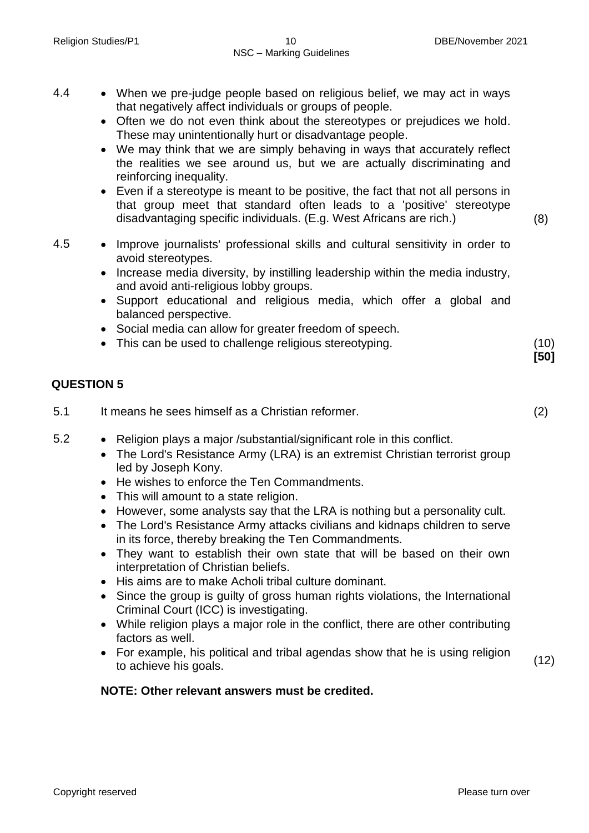- 4.4 When we pre-judge people based on religious belief, we may act in ways that negatively affect individuals or groups of people.
	- Often we do not even think about the stereotypes or prejudices we hold. These may unintentionally hurt or disadvantage people.
	- We may think that we are simply behaving in ways that accurately reflect the realities we see around us, but we are actually discriminating and reinforcing inequality.
	- Even if a stereotype is meant to be positive, the fact that not all persons in that group meet that standard often leads to a 'positive' stereotype disadvantaging specific individuals. (E.g. West Africans are rich.) (8)
- 4.5 Improve journalists' professional skills and cultural sensitivity in order to avoid stereotypes.
	- Increase media diversity, by instilling leadership within the media industry, and avoid anti-religious lobby groups.
	- Support educational and religious media, which offer a global and balanced perspective.
	- Social media can allow for greater freedom of speech.
	- This can be used to challenge religious stereotyping. (10)

# **QUESTION 5**

- 5.1 It means he sees himself as a Christian reformer. (2)
- 5.2 Religion plays a major /substantial/significant role in this conflict.
	- The Lord's Resistance Army (LRA) is an extremist Christian terrorist group led by Joseph Kony.
	- He wishes to enforce the Ten Commandments.
	- This will amount to a state religion.
	- However, some analysts say that the LRA is nothing but a personality cult.
	- The Lord's Resistance Army attacks civilians and kidnaps children to serve in its force, thereby breaking the Ten Commandments.
	- They want to establish their own state that will be based on their own interpretation of Christian beliefs.
	- His aims are to make Acholi tribal culture dominant.
	- Since the group is guilty of gross human rights violations, the International Criminal Court (ICC) is investigating.
	- While religion plays a major role in the conflict, there are other contributing factors as well.
	- For example, his political and tribal agendas show that he is using religion to achieve his goals. (12)

# **NOTE: Other relevant answers must be credited.**

**[50]**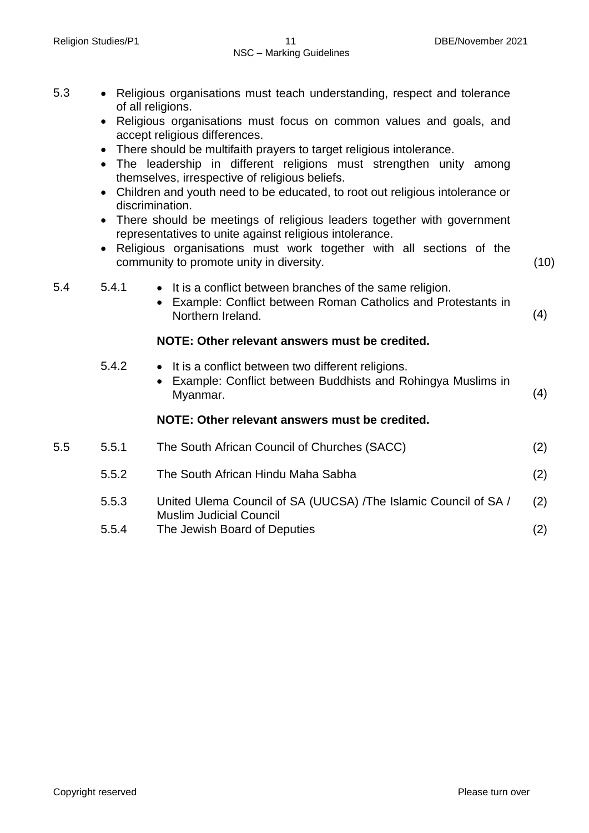| 5.3 |       | • Religious organisations must teach understanding, respect and tolerance<br>of all religions.<br>Religious organisations must focus on common values and goals, and<br>accept religious differences.<br>There should be multifaith prayers to target religious intolerance.<br>• The leadership in different religions must strengthen unity among<br>themselves, irrespective of religious beliefs.<br>• Children and youth need to be educated, to root out religious intolerance or<br>discrimination.<br>There should be meetings of religious leaders together with government<br>representatives to unite against religious intolerance.<br>Religious organisations must work together with all sections of the<br>community to promote unity in diversity. | (10) |
|-----|-------|--------------------------------------------------------------------------------------------------------------------------------------------------------------------------------------------------------------------------------------------------------------------------------------------------------------------------------------------------------------------------------------------------------------------------------------------------------------------------------------------------------------------------------------------------------------------------------------------------------------------------------------------------------------------------------------------------------------------------------------------------------------------|------|
| 5.4 | 5.4.1 | • It is a conflict between branches of the same religion.<br>Example: Conflict between Roman Catholics and Protestants in<br>$\bullet$<br>Northern Ireland.                                                                                                                                                                                                                                                                                                                                                                                                                                                                                                                                                                                                        | (4)  |
|     |       | NOTE: Other relevant answers must be credited.                                                                                                                                                                                                                                                                                                                                                                                                                                                                                                                                                                                                                                                                                                                     |      |
|     | 5.4.2 | • It is a conflict between two different religions.<br>Example: Conflict between Buddhists and Rohingya Muslims in<br>Myanmar.                                                                                                                                                                                                                                                                                                                                                                                                                                                                                                                                                                                                                                     | (4)  |
|     |       | NOTE: Other relevant answers must be credited.                                                                                                                                                                                                                                                                                                                                                                                                                                                                                                                                                                                                                                                                                                                     |      |
| 5.5 | 5.5.1 | The South African Council of Churches (SACC)                                                                                                                                                                                                                                                                                                                                                                                                                                                                                                                                                                                                                                                                                                                       | (2)  |
|     | 5.5.2 | The South African Hindu Maha Sabha                                                                                                                                                                                                                                                                                                                                                                                                                                                                                                                                                                                                                                                                                                                                 | (2)  |
|     | 5.5.3 | United Ulema Council of SA (UUCSA) /The Islamic Council of SA /<br><b>Muslim Judicial Council</b>                                                                                                                                                                                                                                                                                                                                                                                                                                                                                                                                                                                                                                                                  | (2)  |
|     |       |                                                                                                                                                                                                                                                                                                                                                                                                                                                                                                                                                                                                                                                                                                                                                                    |      |

5.5.4 The Jewish Board of Deputies (2)